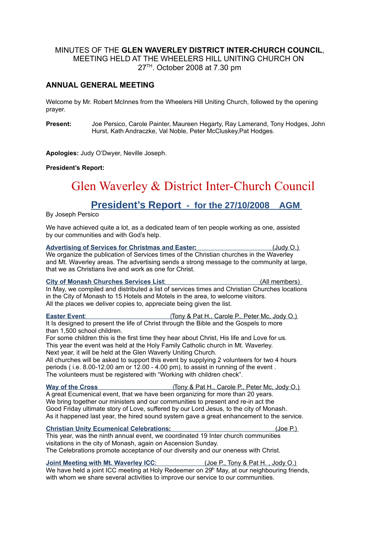## MINUTES OF THE **GLEN WAVERLEY DISTRICT INTER-CHURCH COUNCIL**, MEETING HELD AT THE WHEELERS HILL UNITING CHURCH ON 27TH. October 2008 at 7.30 pm

### **ANNUAL GENERAL MEETING**

Welcome by Mr. Robert McInnes from the Wheelers Hill Uniting Church, followed by the opening prayer.

**Present:** Joe Persico, Carole Painter, Maureen Hegarty, Ray Lamerand, Tony Hodges, John Hurst, Kath Andraczke, Val Noble, Peter McCluskey,Pat Hodges.

**Apologies:** Judy O'Dwyer, Neville Joseph.

#### **President's Report:**

# Glen Waverley & District Inter-Church Council

# **President's Report - for the 27/10/2008 AGM**

By Joseph Persico

We have achieved quite a lot, as a dedicated team of ten people working as one, assisted by our communities and with God's help.

 **Advertising of Services for Christmas and Easter :** (Judy O.) We organize the publication of Services times of the Christian churches in the Waverley and Mt. Waverley areas. The advertising sends a strong message to the community at large, that we as Christians live and work as one for Christ.

**City of Monash Churches Services List:** (All members) In May, we compiled and distributed a list of services times and Christian Churches locations in the City of Monash to 15 Hotels and Motels in the area, to welcome visitors. All the places we deliver copies to, appreciate being given the list.

**Easter Event:** (Tony & Pat H., Carole P., Peter Mc, Jody O.) It Is designed to present the life of Christ through the Bible and the Gospels to more than 1,500 school children.

For some children this is the first time they hear about Christ, His life and Love for us. This year the event was held at the Holy Family Catholic church in Mt. Waverley. Next year, it will be held at the Glen Waverly Uniting Church.

All churches will be asked to support this event by supplying 2 volunteers for two 4 hours periods ( i.e. 8.00-12.00 am or 12.00 - 4.00 pm), to assist in running of the event . The volunteers must be registered with "Working with children check".

**Way of the Cross** (Tony & Pat H., Carole P., Peter Mc, Jody O.) A great Ecumenical event, that we have been organizing for more than 20 years. We bring together our ministers and our communities to present and re-in act the Good Friday ultimate story of Love, suffered by our Lord Jesus, to the city of Monash. As it happened last year, the hired sound system gave a great enhancement to the service.

#### **Christian Unity Ecumenical Celebrations: Christian Unity Ecumenical Celebrations:** (Joe P.)

This year, was the ninth annual event, we coordinated 19 Inter church communities visitations in the city of Monash, again on Ascension Sunday. The Celebrations promote acceptance of our diversity and our oneness with Christ.

**Joint Meeting with Mt. Waverley ICC:** (Joe P., Tony & Pat H., Jody O.) We have held a joint ICC meeting at Holy Redeemer on 29<sup>th</sup> May, at our neighbouring friends, with whom we share several activities to improve our service to our communities.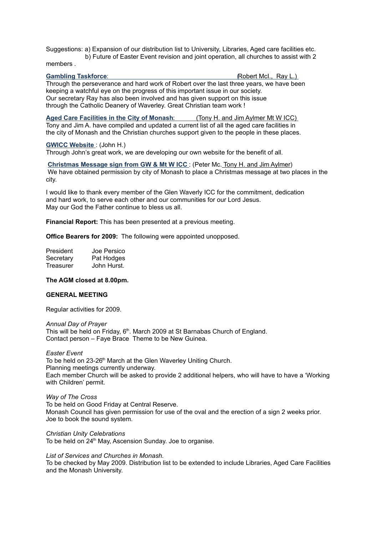Suggestions: a) Expansion of our distribution list to University, Libraries, Aged care facilities etc. b) Future of Easter Event revision and joint operation, all churches to assist with 2

members .

#### **Gambling Taskforce:** (  $\blacksquare$  )  $\blacksquare$  ( Robert McI., Ray L.)

Through the perseverance and hard work of Robert over the last three years, we have been keeping a watchful eye on the progress of this important issue in our society. Our secretary Ray has also been involved and has given support on this issue through the Catholic Deanery of Waverley. Great Christian team work !

**Aged Care Facilities in the City of Monash:** (Tony H. and Jim Aylmer Mt W ICC) Tony and Jim A. have compiled and updated a current list of all the aged care facilities in the city of Monash and the Christian churches support given to the people in these places.

#### **GWICC Website** : (John H.)

Through John's great work, we are developing our own website for the benefit of all.

**Christmas Message sign from GW & Mt W ICC** : (Peter Mc. Tony H. and Jim Aylmer) We have obtained permission by city of Monash to place a Christmas message at two places in the city.

I would like to thank every member of the Glen Waverly ICC for the commitment, dedication and hard work, to serve each other and our communities for our Lord Jesus. May our God the Father continue to bless us all.

**Financial Report:** This has been presented at a previous meeting.

**Office Bearers for 2009:** The following were appointed unopposed.

| President | Joe Persico |
|-----------|-------------|
| Secretary | Pat Hodges  |
| Treasurer | John Hurst. |

#### **The AGM closed at 8.00pm.**

#### **GENERAL MEETING**

Regular activities for 2009.

*Annual Day of Prayer* This will be held on Friday, 6<sup>th</sup>. March 2009 at St Barnabas Church of England. Contact person – Faye Brace Theme to be New Guinea.

*Easter Event* 

To be held on 23-26<sup>th</sup> March at the Glen Waverley Uniting Church. Planning meetings currently underway. Each member Church will be asked to provide 2 additional helpers, who will have to have a 'Working with Children' permit.

*Way of The Cross*

To be held on Good Friday at Central Reserve. Monash Council has given permission for use of the oval and the erection of a sign 2 weeks prior. Joe to book the sound system.

#### *Christian Unity Celebrations*

To be held on 24<sup>th</sup> May, Ascension Sunday. Joe to organise.

*List of Services and Churches in Monash.*

To be checked by May 2009. Distribution list to be extended to include Libraries, Aged Care Facilities and the Monash University.